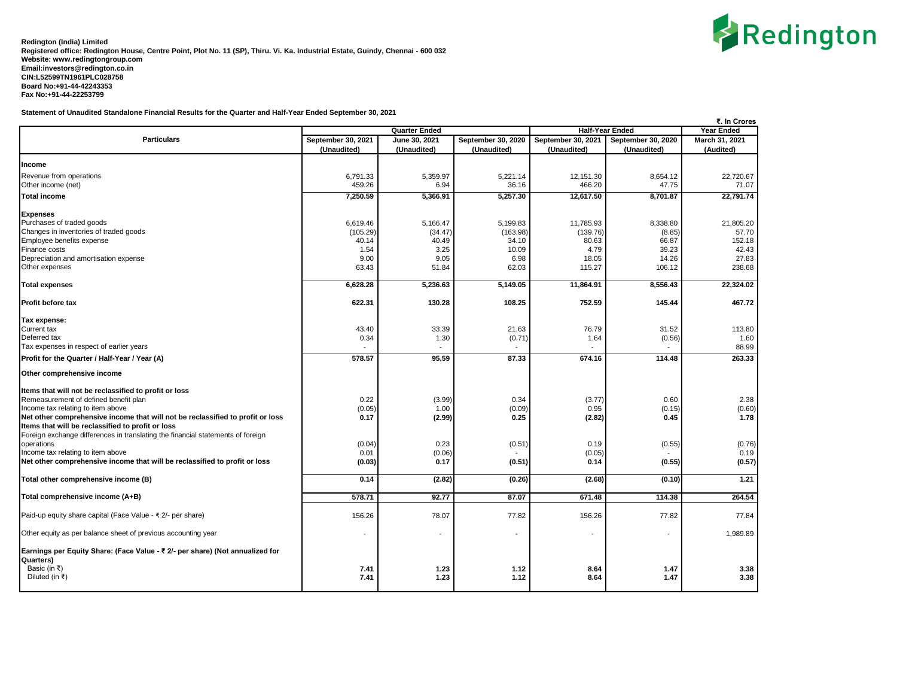

**Statement of Unaudited Standalone Financial Results for the Quarter and Half-Year Ended September 30, 2021**

|                                                                                 |                    |                          |                          |                                             |                          | ₹. In Crores   |
|---------------------------------------------------------------------------------|--------------------|--------------------------|--------------------------|---------------------------------------------|--------------------------|----------------|
|                                                                                 |                    | <b>Quarter Ended</b>     |                          | <b>Half-Year Ended</b><br><b>Year Ended</b> |                          |                |
| <b>Particulars</b>                                                              | September 30, 2021 | June 30, 2021            | September 30, 2020       | September 30, 2021                          | September 30, 2020       | March 31, 2021 |
|                                                                                 | (Unaudited)        | (Unaudited)              | (Unaudited)              | (Unaudited)                                 | (Unaudited)              | (Audited)      |
|                                                                                 |                    |                          |                          |                                             |                          |                |
| Income                                                                          |                    |                          |                          |                                             |                          |                |
| Revenue from operations                                                         | 6,791.33           | 5,359.97                 | 5,221.14                 | 12,151.30                                   | 8.654.12                 | 22.720.67      |
| Other income (net)                                                              | 459.26             | 6.94                     | 36.16                    | 466.20                                      | 47.75                    | 71.07          |
| <b>Total income</b>                                                             | 7,250.59           | 5,366.91                 | 5,257.30                 | 12,617.50                                   | 8,701.87                 | 22,791.74      |
| <b>Expenses</b>                                                                 |                    |                          |                          |                                             |                          |                |
| Purchases of traded goods                                                       | 6,619.46           | 5,166.47                 | 5,199.83                 | 11,785.93                                   | 8,338.80                 | 21,805.20      |
| Changes in inventories of traded goods                                          | (105.29)           | (34.47)                  | (163.98)                 | (139.76)                                    | (8.85)                   | 57.70          |
| Employee benefits expense                                                       | 40.14              | 40.49                    | 34.10                    | 80.63                                       | 66.87                    | 152.18         |
| Finance costs                                                                   | 1.54               | 3.25                     | 10.09                    | 4.79                                        | 39.23                    | 42.43          |
| Depreciation and amortisation expense                                           | 9.00               | 9.05                     | 6.98                     | 18.05                                       | 14.26                    | 27.83          |
| Other expenses                                                                  | 63.43              | 51.84                    | 62.03                    | 115.27                                      | 106.12                   | 238.68         |
|                                                                                 |                    |                          |                          |                                             |                          |                |
| <b>Total expenses</b>                                                           | 6.628.28           | 5,236.63                 | 5.149.05                 | 11.864.91                                   | 8,556.43                 | 22.324.02      |
| Profit before tax                                                               | 622.31             | 130.28                   | 108.25                   | 752.59                                      | 145.44                   | 467.72         |
| Tax expense:                                                                    |                    |                          |                          |                                             |                          |                |
| Current tax                                                                     | 43.40              | 33.39                    | 21.63                    | 76.79                                       | 31.52                    | 113.80         |
| Deferred tax                                                                    | 0.34               | 1.30                     | (0.71)                   | 1.64                                        | (0.56)                   | 1.60           |
| Tax expenses in respect of earlier years                                        |                    |                          |                          |                                             |                          | 88.99          |
|                                                                                 |                    |                          |                          |                                             |                          |                |
| Profit for the Quarter / Half-Year / Year (A)                                   | 578.57             | 95.59                    | 87.33                    | 674.16                                      | 114.48                   | 263.33         |
| Other comprehensive income                                                      |                    |                          |                          |                                             |                          |                |
| Items that will not be reclassified to profit or loss                           |                    |                          |                          |                                             |                          |                |
| Remeasurement of defined benefit plan                                           | 0.22               | (3.99)                   | 0.34                     | (3.77)                                      | 0.60                     | 2.38           |
| Income tax relating to item above                                               | (0.05)             | 1.00                     | (0.09)                   | 0.95                                        | (0.15)                   | (0.60)         |
| Net other comprehensive income that will not be reclassified to profit or loss  | 0.17               | (2.99)                   | 0.25                     | (2.82)                                      | 0.45                     | 1.78           |
| Items that will be reclassified to profit or loss                               |                    |                          |                          |                                             |                          |                |
| Foreign exchange differences in translating the financial statements of foreign |                    |                          |                          |                                             |                          |                |
| operations                                                                      | (0.04)             | 0.23                     | (0.51)                   | 0.19                                        | (0.55)                   | (0.76)         |
| Income tax relating to item above                                               | 0.01               | (0.06)                   |                          | (0.05)                                      |                          | 0.19           |
| Net other comprehensive income that will be reclassified to profit or loss      | (0.03)             | 0.17                     | (0.51)                   | 0.14                                        | (0.55)                   | (0.57)         |
|                                                                                 |                    |                          |                          |                                             |                          |                |
| Total other comprehensive income (B)                                            | 0.14               | (2.82)                   | (0.26)                   | (2.68)                                      | (0.10)                   | 1.21           |
| Total comprehensive income (A+B)                                                | 578.71             | 92.77                    | 87.07                    | 671.48                                      | 114.38                   | 264.54         |
| Paid-up equity share capital (Face Value - ₹ 2/- per share)                     | 156.26             | 78.07                    | 77.82                    | 156.26                                      | 77.82                    | 77.84          |
| Other equity as per balance sheet of previous accounting year                   |                    | $\overline{\phantom{a}}$ | $\overline{\phantom{a}}$ |                                             | $\overline{\phantom{a}}$ | 1,989.89       |
|                                                                                 |                    |                          |                          |                                             |                          |                |
| Earnings per Equity Share: (Face Value - ₹ 2/- per share) (Not annualized for   |                    |                          |                          |                                             |                          |                |
| Quarters)                                                                       |                    |                          |                          |                                             |                          |                |
| Basic (in ₹)                                                                    | 7.41               | 1.23                     | 1.12                     | 8.64                                        | 1.47                     | 3.38           |
| Diluted (in ₹)                                                                  | 7.41               | 1.23                     | 1.12                     | 8.64                                        | 1.47                     | 3.38           |
|                                                                                 |                    |                          |                          |                                             |                          |                |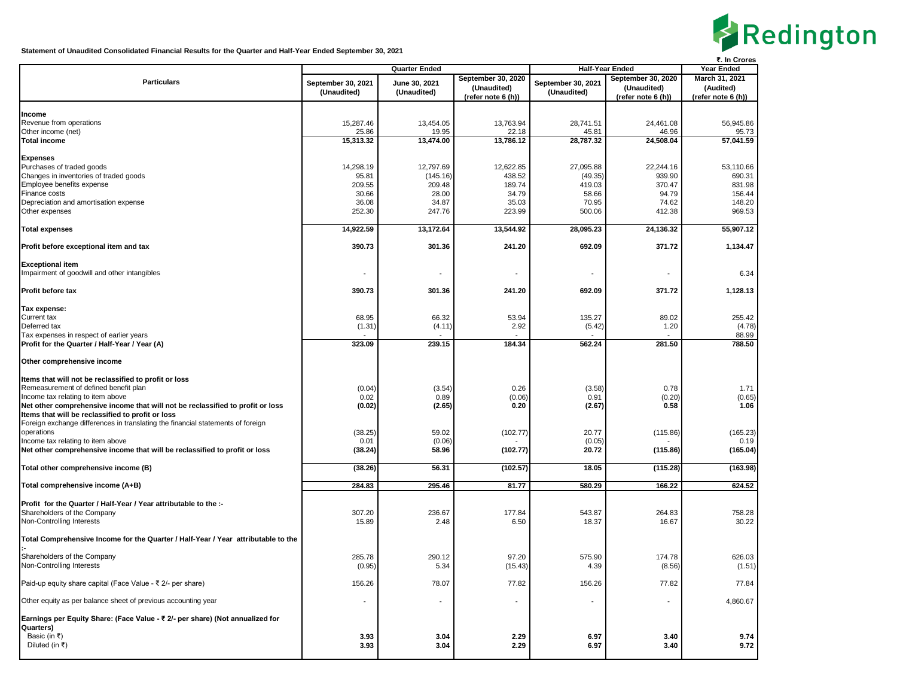

**Statement of Unaudited Consolidated Financial Results for the Quarter and Half-Year Ended September 30, 2021**

|                                                                                   |                          |                       |                     |                          |                     | ₹. In Crores        |
|-----------------------------------------------------------------------------------|--------------------------|-----------------------|---------------------|--------------------------|---------------------|---------------------|
|                                                                                   | <b>Quarter Ended</b>     |                       |                     | <b>Half-Year Ended</b>   |                     | Year Ended          |
| <b>Particulars</b>                                                                | September 30, 2021       | June 30, 2021         | September 30, 2020  | September 30, 2021       | September 30, 2020  | March 31, 2021      |
|                                                                                   | (Unaudited)              | (Unaudited)           | (Unaudited)         | (Unaudited)              | (Unaudited)         | (Audited)           |
|                                                                                   |                          |                       | (refer note 6 (h))  |                          | (refer note 6 (h))  | (refer note 6 (h))  |
|                                                                                   |                          |                       |                     |                          |                     |                     |
| Income                                                                            |                          |                       |                     |                          |                     |                     |
| Revenue from operations                                                           | 15,287.46                | 13,454.05             | 13,763.94           | 28,741.51                | 24,461.08           | 56,945.86           |
| Other income (net)                                                                | 25.86                    | 19.95                 | 22.18               | 45.81                    | 46.96               | 95.73               |
| <b>Total income</b>                                                               | 15,313.32                | 13,474.00             | 13,786.12           | 28,787.32                | 24,508.04           | 57,041.59           |
|                                                                                   |                          |                       |                     |                          |                     |                     |
| <b>Expenses</b>                                                                   |                          |                       |                     |                          |                     |                     |
| Purchases of traded goods<br>Changes in inventories of traded goods               | 14,298.19<br>95.81       | 12,797.69<br>(145.16) | 12,622.85<br>438.52 | 27,095.88<br>(49.35)     | 22,244.16<br>939.90 | 53,110.66<br>690.31 |
| Employee benefits expense                                                         | 209.55                   | 209.48                | 189.74              | 419.03                   | 370.47              | 831.98              |
| Finance costs                                                                     | 30.66                    | 28.00                 | 34.79               | 58.66                    | 94.79               | 156.44              |
| Depreciation and amortisation expense                                             | 36.08                    | 34.87                 | 35.03               | 70.95                    | 74.62               | 148.20              |
| Other expenses                                                                    | 252.30                   | 247.76                | 223.99              | 500.06                   | 412.38              | 969.53              |
|                                                                                   |                          |                       |                     |                          |                     |                     |
| <b>Total expenses</b>                                                             | 14,922.59                | 13,172.64             | 13,544.92           | 28,095.23                | 24,136.32           | 55,907.12           |
| Profit before exceptional item and tax                                            | 390.73                   | 301.36                | 241.20              | 692.09                   | 371.72              | 1,134.47            |
|                                                                                   |                          |                       |                     |                          |                     |                     |
| <b>Exceptional item</b>                                                           |                          |                       |                     |                          |                     |                     |
| Impairment of goodwill and other intangibles                                      | $\overline{\phantom{a}}$ |                       |                     | $\overline{\phantom{a}}$ |                     | 6.34                |
| <b>Profit before tax</b>                                                          | 390.73                   | 301.36                | 241.20              | 692.09                   | 371.72              | 1,128.13            |
|                                                                                   |                          |                       |                     |                          |                     |                     |
| Tax expense:                                                                      |                          |                       |                     |                          |                     |                     |
| Current tax                                                                       | 68.95                    | 66.32                 | 53.94               | 135.27                   | 89.02               | 255.42              |
| Deferred tax                                                                      | (1.31)                   | (4.11)                | 2.92                | (5.42)                   | 1.20                | (4.78)              |
| Tax expenses in respect of earlier years                                          |                          |                       |                     |                          |                     | 88.99               |
| Profit for the Quarter / Half-Year / Year (A)                                     | 323.09                   | 239.15                | 184.34              | 562.24                   | 281.50              | 788.50              |
|                                                                                   |                          |                       |                     |                          |                     |                     |
| Other comprehensive income                                                        |                          |                       |                     |                          |                     |                     |
|                                                                                   |                          |                       |                     |                          |                     |                     |
| Items that will not be reclassified to profit or loss                             |                          |                       |                     |                          |                     |                     |
| Remeasurement of defined benefit plan                                             | (0.04)                   | (3.54)                | 0.26                | (3.58)                   | 0.78                | 1.71                |
| Income tax relating to item above                                                 | 0.02                     | 0.89                  | (0.06)              | 0.91                     | (0.20)              | (0.65)              |
| Net other comprehensive income that will not be reclassified to profit or loss    | (0.02)                   | (2.65)                | 0.20                | (2.67)                   | 0.58                | 1.06                |
| Items that will be reclassified to profit or loss                                 |                          |                       |                     |                          |                     |                     |
| Foreign exchange differences in translating the financial statements of foreign   |                          |                       |                     |                          |                     |                     |
| operations                                                                        | (38.25)                  | 59.02                 | (102.77)            | 20.77                    | (115.86)            | (165.23)            |
| Income tax relating to item above                                                 | 0.01                     | (0.06)                |                     | (0.05)                   |                     | 0.19                |
| Net other comprehensive income that will be reclassified to profit or loss        | (38.24)                  | 58.96                 | (102.77)            | 20.72                    | (115.86)            | (165.04)            |
| Total other comprehensive income (B)                                              | (38.26)                  | 56.31                 | (102.57)            | 18.05                    | (115.28)            | (163.98)            |
| Total comprehensive income (A+B)                                                  | 284.83                   | 295.46                | 81.77               | 580.29                   | 166.22              | 624.52              |
|                                                                                   |                          |                       |                     |                          |                     |                     |
| Profit for the Quarter / Half-Year / Year attributable to the :-                  |                          |                       |                     |                          |                     |                     |
| Shareholders of the Company                                                       | 307.20                   | 236.67                | 177.84              | 543.87                   | 264.83              | 758.28              |
| Non-Controlling Interests                                                         | 15.89                    | 2.48                  | 6.50                | 18.37                    | 16.67               | 30.22               |
| Total Comprehensive Income for the Quarter / Half-Year / Year attributable to the |                          |                       |                     |                          |                     |                     |
|                                                                                   |                          |                       |                     |                          |                     |                     |
| Shareholders of the Company                                                       | 285.78                   | 290.12                | 97.20               | 575.90                   | 174.78              | 626.03              |
| Non-Controlling Interests                                                         | (0.95)                   | 5.34                  | (15.43)             | 4.39                     | (8.56)              | (1.51)              |
| Paid-up equity share capital (Face Value - ₹ 2/- per share)                       | 156.26                   | 78.07                 | 77.82               | 156.26                   | 77.82               | 77.84               |
| Other equity as per balance sheet of previous accounting year                     |                          |                       |                     |                          |                     | 4,860.67            |
|                                                                                   |                          |                       |                     |                          |                     |                     |
| Earnings per Equity Share: (Face Value - ₹ 2/- per share) (Not annualized for     |                          |                       |                     |                          |                     |                     |
| Quarters)                                                                         |                          |                       |                     |                          |                     |                     |
| Basic (in ₹)                                                                      | 3.93                     | 3.04                  | 2.29                | 6.97                     | 3.40                | 9.74                |
| Diluted (in ₹)                                                                    | 3.93                     | 3.04                  | 2.29                | 6.97                     | 3.40                | 9.72                |
|                                                                                   |                          |                       |                     |                          |                     |                     |